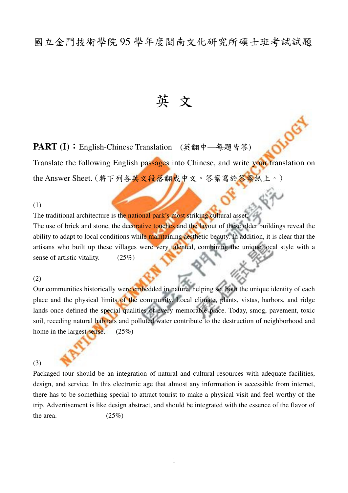## 國立金門技術學院 95 學年度閩南文化研究所碩士班考試試題

# 英 文

ILOGIA

#### **PART (I):** English-Chinese Translation (英翻中—每題皆答)

Translate the following English passages into Chinese, and write your translation on the Answer Sheet. (將下列各英文段落翻成中文。答案寫於答案紙上。)

(1)

The traditional architecture is the national park's most striking cultural asset. The use of brick and stone, the decorative touches and the layout of these older buildings reveal the ability to adapt to local conditions while maintaining aesthetic beauty. In addition, it is clear that the artisans who built up these villages were very talented, combining the unique local style with a sense of artistic vitality. (25%)

#### (2)

Our communities historically were embedded in nature, helping set both the unique identity of each place and the physical limits of the community. Local climate, plants, vistas, harbors, and ridge lands once defined the special qualities of every memorable place. Today, smog, pavement, toxic soil, receding natural habitats and polluted water contribute to the destruction of neighborhood and home in the largest sense. (25%)

#### (3)

Packaged tour should be an integration of natural and cultural resources with adequate facilities, design, and service. In this electronic age that almost any information is accessible from internet, there has to be something special to attract tourist to make a physical visit and feel worthy of the trip. Advertisement is like design abstract, and should be integrated with the essence of the flavor of the area.  $(25\%)$